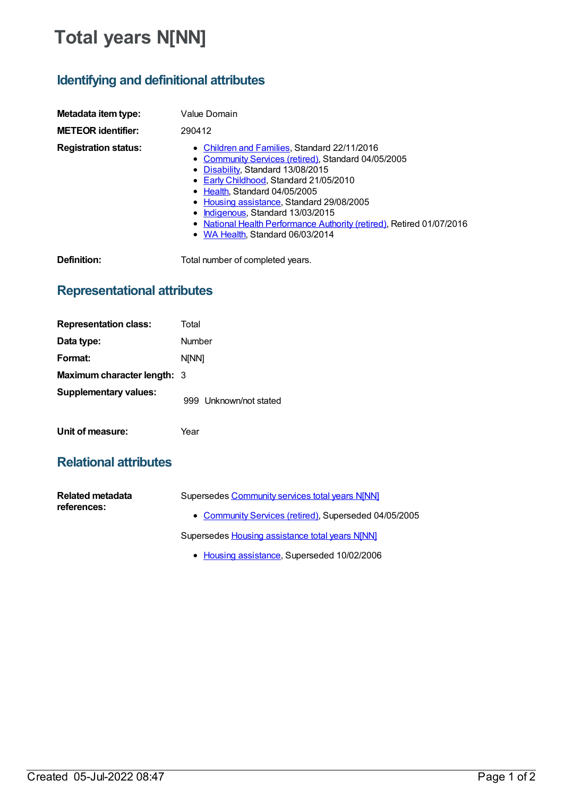# **Total years N[NN]**

## **Identifying and definitional attributes**

| Metadata item type:         | Value Domain                                                                                                                                                                                                                                                                                                                                                                                                       |
|-----------------------------|--------------------------------------------------------------------------------------------------------------------------------------------------------------------------------------------------------------------------------------------------------------------------------------------------------------------------------------------------------------------------------------------------------------------|
| <b>METEOR identifier:</b>   | 290412                                                                                                                                                                                                                                                                                                                                                                                                             |
| <b>Registration status:</b> | • Children and Families, Standard 22/11/2016<br>• Community Services (retired), Standard 04/05/2005<br>• Disability, Standard 13/08/2015<br>• Early Childhood, Standard 21/05/2010<br>• Health, Standard 04/05/2005<br>• Housing assistance, Standard 29/08/2005<br>• Indigenous, Standard 13/03/2015<br>• National Health Performance Authority (retired), Retired 01/07/2016<br>• WA Health. Standard 06/03/2014 |
| Definition:                 | Total number of completed years.                                                                                                                                                                                                                                                                                                                                                                                   |

### **Representational attributes**

| <b>Representation class:</b>       | Total                  |
|------------------------------------|------------------------|
| Data type:                         | Number                 |
| Format:                            | <b>NINN1</b>           |
| <b>Maximum character length: 3</b> |                        |
| <b>Supplementary values:</b>       | 999 Unknown/not stated |
| Unit of measure:                   | Year                   |

### **Relational attributes**

| Related metadata<br>references: | Supersedes Community services total years N[NN]       |
|---------------------------------|-------------------------------------------------------|
|                                 | • Community Services (retired), Superseded 04/05/2005 |
|                                 | Supersedes Housing assistance total years N[NN]       |

• Housing [assistance](https://meteor.aihw.gov.au/RegistrationAuthority/11), Superseded 10/02/2006